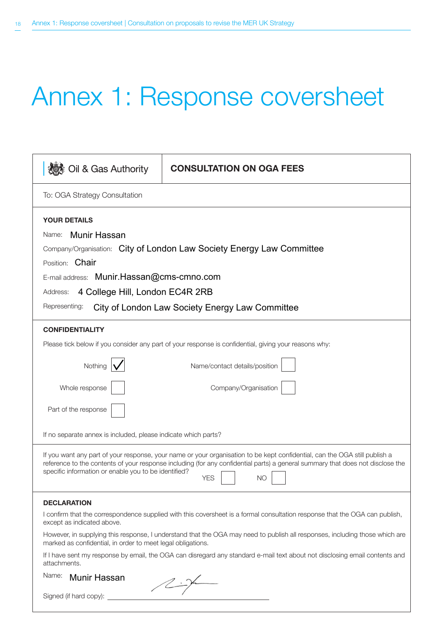# Annex 1: Response coversheet

| Oil & Gas Authority                                                                                                                                                                                                                                                                                                               | <b>CONSULTATION ON OGA FEES</b> |  |
|-----------------------------------------------------------------------------------------------------------------------------------------------------------------------------------------------------------------------------------------------------------------------------------------------------------------------------------|---------------------------------|--|
| To: OGA Strategy Consultation                                                                                                                                                                                                                                                                                                     |                                 |  |
| <b>YOUR DETAILS</b>                                                                                                                                                                                                                                                                                                               |                                 |  |
| Munir Hassan<br>Name:                                                                                                                                                                                                                                                                                                             |                                 |  |
| Company/Organisation: City of London Law Society Energy Law Committee                                                                                                                                                                                                                                                             |                                 |  |
| Position: Chair                                                                                                                                                                                                                                                                                                                   |                                 |  |
| E-mail address: Munir.Hassan@cms-cmno.com                                                                                                                                                                                                                                                                                         |                                 |  |
| 4 College Hill, London EC4R 2RB<br>Address:                                                                                                                                                                                                                                                                                       |                                 |  |
| Representing:<br>City of London Law Society Energy Law Committee                                                                                                                                                                                                                                                                  |                                 |  |
| <b>CONFIDENTIALITY</b>                                                                                                                                                                                                                                                                                                            |                                 |  |
| Please tick below if you consider any part of your response is confidential, giving your reasons why:                                                                                                                                                                                                                             |                                 |  |
| Nothing                                                                                                                                                                                                                                                                                                                           | Name/contact details/position   |  |
| Whole response                                                                                                                                                                                                                                                                                                                    | Company/Organisation            |  |
| Part of the response                                                                                                                                                                                                                                                                                                              |                                 |  |
| If no separate annex is included, please indicate which parts?                                                                                                                                                                                                                                                                    |                                 |  |
| If you want any part of your response, your name or your organisation to be kept confidential, can the OGA still publish a<br>reference to the contents of your response including (for any confidential parts) a general summary that does not disclose the<br>specific information or enable you to be identified?<br>YES<br>ΝO |                                 |  |
| <b>DECLARATION</b>                                                                                                                                                                                                                                                                                                                |                                 |  |
| I confirm that the correspondence supplied with this coversheet is a formal consultation response that the OGA can publish,<br>except as indicated above.                                                                                                                                                                         |                                 |  |
| However, in supplying this response, I understand that the OGA may need to publish all responses, including those which are<br>marked as confidential, in order to meet legal obligations.                                                                                                                                        |                                 |  |
| If I have sent my response by email, the OGA can disregard any standard e-mail text about not disclosing email contents and<br>attachments.                                                                                                                                                                                       |                                 |  |
| Name:<br><b>Munir Hassan</b><br>$\sqrt{2\cdot\gamma}$                                                                                                                                                                                                                                                                             |                                 |  |
| Cianod (if hard com):                                                                                                                                                                                                                                                                                                             |                                 |  |

| Signed (if hard copy): |  |  |
|------------------------|--|--|
|------------------------|--|--|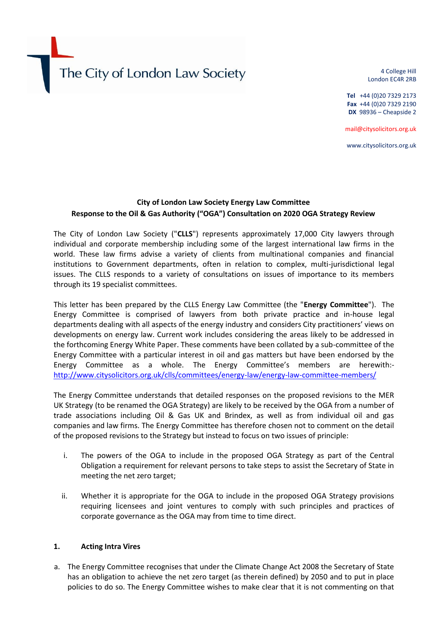# The City of London Law Society

4 College Hill London EC4R 2RB

**Tel** +44 (0)20 7329 2173 **Fax** +44 (0)20 7329 2190 **DX** 98936 – Cheapside 2

mail@citysolicitors.org.uk

www.citysolicitors.org.uk

## **City of London Law Society Energy Law Committee Response to the Oil & Gas Authority ("OGA") Consultation on 2020 OGA Strategy Review**

The City of London Law Society ("**CLLS**") represents approximately 17,000 City lawyers through individual and corporate membership including some of the largest international law firms in the world. These law firms advise a variety of clients from multinational companies and financial institutions to Government departments, often in relation to complex, multi-jurisdictional legal issues. The CLLS responds to a variety of consultations on issues of importance to its members through its 19 specialist committees.

This letter has been prepared by the CLLS Energy Law Committee (the "**Energy Committee**"). The Energy Committee is comprised of lawyers from both private practice and in-house legal departments dealing with all aspects of the energy industry and considers City practitioners' views on developments on energy law. Current work includes considering the areas likely to be addressed in the forthcoming Energy White Paper. These comments have been collated by a sub-committee of the Energy Committee with a particular interest in oil and gas matters but have been endorsed by the Energy Committee as a whole. The Energy Committee's members are herewith: <http://www.citysolicitors.org.uk/clls/committees/energy-law/energy-law-committee-members/>

The Energy Committee understands that detailed responses on the proposed revisions to the MER UK Strategy (to be renamed the OGA Strategy) are likely to be received by the OGA from a number of trade associations including Oil & Gas UK and Brindex, as well as from individual oil and gas companies and law firms. The Energy Committee has therefore chosen not to comment on the detail of the proposed revisions to the Strategy but instead to focus on two issues of principle:

- i. The powers of the OGA to include in the proposed OGA Strategy as part of the Central Obligation a requirement for relevant persons to take steps to assist the Secretary of State in meeting the net zero target;
- ii. Whether it is appropriate for the OGA to include in the proposed OGA Strategy provisions requiring licensees and joint ventures to comply with such principles and practices of corporate governance as the OGA may from time to time direct.

#### **1. Acting Intra Vires**

a. The Energy Committee recognises that under the Climate Change Act 2008 the Secretary of State has an obligation to achieve the net zero target (as therein defined) by 2050 and to put in place policies to do so. The Energy Committee wishes to make clear that it is not commenting on that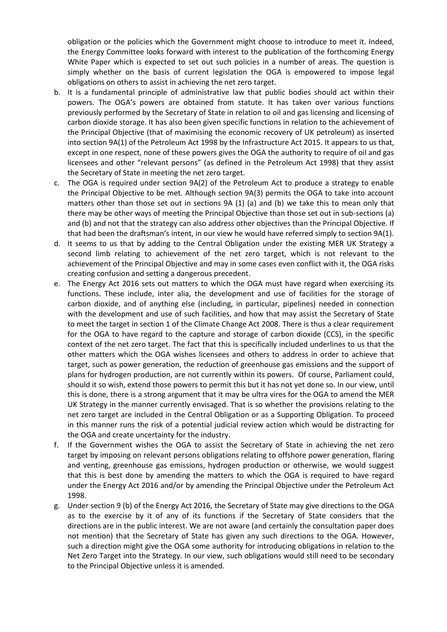obligation or the policies which the Government might choose to introduce to meet it. Indeed, the Energy Committee looks forward with interest to the publication of the forthcoming Energy White Paper which is expected to set out such policies in a number of areas. The question is simply whether on the basis of current legislation the OGA is empowered to impose legal obligations on others to assist in achieving the net zero target.

- b. It is a fundamental principle of administrative law that public bodies should act within their powers. The OGA's powers are obtained from statute. It has taken over various functions previously performed by the Secretary of State in relation to oil and gas licensing and licensing of carbon dioxide storage. It has also been given specific functions in relation to the achievement of the Principal Objective (that of maximising the economic recovery of UK petroleum) as inserted into section 9A(1) of the Petroleum Act 1998 by the Infrastructure Act 2015. It appears to us that, except in one respect, none of these powers gives the OGA the authority to require of oil and gas licensees and other "relevant persons" (as defined in the Petroleum Act 1998) that they assist the Secretary of State in meeting the net zero target.
- c. The OGA is required under section 9A(2) of the Petroleum Act to produce a strategy to enable the Principal Objective to be met. Although section 9A(3) permits the OGA to take into account matters other than those set out in sections 9A (1) (a) and (b) we take this to mean only that there may be other ways of meeting the Principal Objective than those set out in sub-sections (a) and (b) and not that the strategy can also address other objectives than the Principal Objective. If that had been the draftsman's intent, in our view he would have referred simply to section 9A(1).
- d. It seems to us that by adding to the Central Obligation under the existing MER UK Strategy a second limb relating to achievement of the net zero target, which is not relevant to the achievement of the Principal Objective and may in some cases even conflict with it, the OGA risks creating confusion and setting a dangerous precedent.
- e. The Energy Act 2016 sets out matters to which the OGA must have regard when exercising its functions. These include, inter alia, the development and use of facilities for the storage of carbon dioxide, and of anything else (including, in particular, pipelines) needed in connection with the development and use of such facilities, and how that may assist the Secretary of State to meet the target in section 1 of the Climate Change Act 2008. There is thus a clear requirement for the OGA to have regard to the capture and storage of carbon dioxide (CCS), in the specific context of the net zero target. The fact that this is specifically included underlines to us that the other matters which the OGA wishes licensees and others to address in order to achieve that target, such as power generation, the reduction of greenhouse gas emissions and the support of plans for hydrogen production, are not currently within its powers. Of course, Parliament could, should it so wish, extend those powers to permit this but it has not yet done so. In our view, until this is done, there is a strong argument that it may be ultra vires for the OGA to amend the MER UK Strategy in the manner currently envisaged. That is so whether the provisions relating to the net zero target are included in the Central Obligation or as a Supporting Obligation. To proceed in this manner runs the risk of a potential judicial review action which would be distracting for the OGA and create uncertainty for the industry.
- f. If the Government wishes the OGA to assist the Secretary of State in achieving the net zero target by imposing on relevant persons obligations relating to offshore power generation, flaring and venting, greenhouse gas emissions, hydrogen production or otherwise, we would suggest that this is best done by amending the matters to which the OGA is required to have regard under the Energy Act 2016 and/or by amending the Principal Objective under the Petroleum Act 1998.
- g. Under section 9 (b) of the Energy Act 2016, the Secretary of State may give directions to the OGA as to the exercise by it of any of its functions if the Secretary of State considers that the directions are in the public interest. We are not aware (and certainly the consultation paper does not mention) that the Secretary of State has given any such directions to the OGA. However, such a direction might give the OGA some authority for introducing obligations in relation to the Net Zero Target into the Strategy. In our view, such obligations would still need to be secondary to the Principal Objective unless it is amended.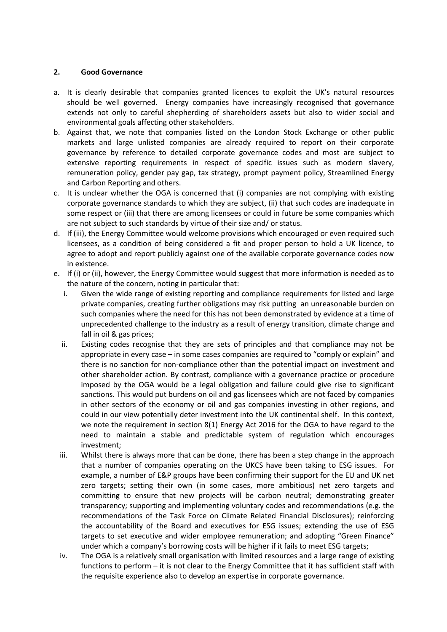### **2. Good Governance**

- a. It is clearly desirable that companies granted licences to exploit the UK's natural resources should be well governed. Energy companies have increasingly recognised that governance extends not only to careful shepherding of shareholders assets but also to wider social and environmental goals affecting other stakeholders.
- b. Against that, we note that companies listed on the London Stock Exchange or other public markets and large unlisted companies are already required to report on their corporate governance by reference to detailed corporate governance codes and most are subject to extensive reporting requirements in respect of specific issues such as modern slavery, remuneration policy, gender pay gap, tax strategy, prompt payment policy, Streamlined Energy and Carbon Reporting and others.
- c. It is unclear whether the OGA is concerned that (i) companies are not complying with existing corporate governance standards to which they are subject, (ii) that such codes are inadequate in some respect or (iii) that there are among licensees or could in future be some companies which are not subject to such standards by virtue of their size and/ or status.
- d. If (iii), the Energy Committee would welcome provisions which encouraged or even required such licensees, as a condition of being considered a fit and proper person to hold a UK licence, to agree to adopt and report publicly against one of the available corporate governance codes now in existence.
- e. If (i) or (ii), however, the Energy Committee would suggest that more information is needed as to the nature of the concern, noting in particular that:
	- i. Given the wide range of existing reporting and compliance requirements for listed and large private companies, creating further obligations may risk putting an unreasonable burden on such companies where the need for this has not been demonstrated by evidence at a time of unprecedented challenge to the industry as a result of energy transition, climate change and fall in oil & gas prices;
	- ii. Existing codes recognise that they are sets of principles and that compliance may not be appropriate in every case – in some cases companies are required to "comply or explain" and there is no sanction for non-compliance other than the potential impact on investment and other shareholder action. By contrast, compliance with a governance practice or procedure imposed by the OGA would be a legal obligation and failure could give rise to significant sanctions. This would put burdens on oil and gas licensees which are not faced by companies in other sectors of the economy or oil and gas companies investing in other regions, and could in our view potentially deter investment into the UK continental shelf. In this context, we note the requirement in section 8(1) Energy Act 2016 for the OGA to have regard to the need to maintain a stable and predictable system of regulation which encourages investment;
	- iii. Whilst there is always more that can be done, there has been a step change in the approach that a number of companies operating on the UKCS have been taking to ESG issues. For example, a number of E&P groups have been confirming their support for the EU and UK net zero targets; setting their own (in some cases, more ambitious) net zero targets and committing to ensure that new projects will be carbon neutral; demonstrating greater transparency; supporting and implementing voluntary codes and recommendations (e.g. the recommendations of the Task Force on Climate Related Financial Disclosures); reinforcing the accountability of the Board and executives for ESG issues; extending the use of ESG targets to set executive and wider employee remuneration; and adopting "Green Finance" under which a company's borrowing costs will be higher if it fails to meet ESG targets;
	- iv. The OGA is a relatively small organisation with limited resources and a large range of existing functions to perform – it is not clear to the Energy Committee that it has sufficient staff with the requisite experience also to develop an expertise in corporate governance.